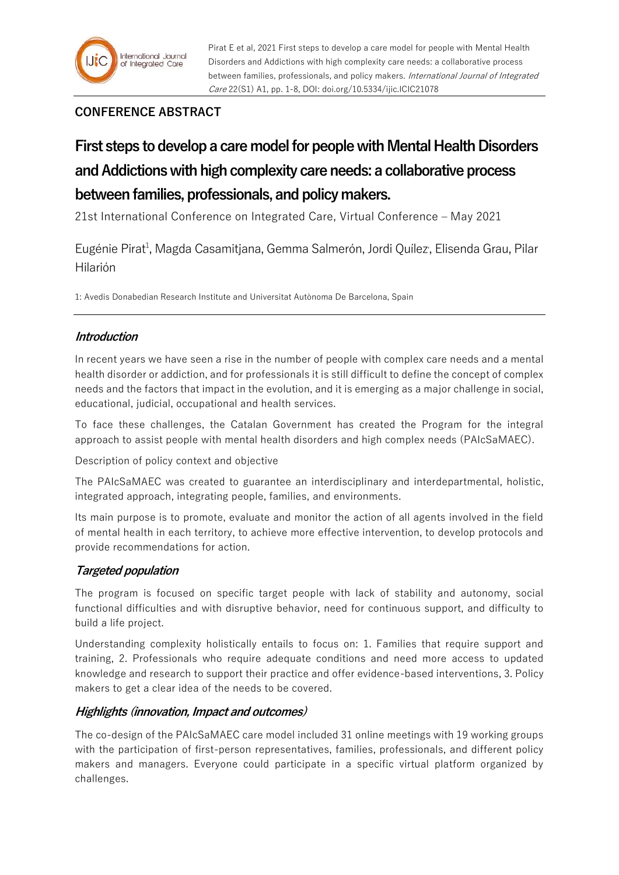## **CONFERENCE ABSTRACT**

# **First steps to develop a care model for people with Mental Health Disorders and Addictions with high complexity care needs: a collaborative process between families, professionals, and policy makers.**

21st International Conference on Integrated Care, Virtual Conference – May 2021

Eugénie Pirat<sup>1</sup>, Magda Casamitjana, Gemma Salmerón, Jordi Quílez, Elisenda Grau, Pilar Hilarión

1: Avedis Donabedian Research Institute and Universitat Autònoma De Barcelona, Spain

### **Introduction**

In recent years we have seen a rise in the number of people with complex care needs and a mental health disorder or addiction, and for professionals it is still difficult to define the concept of complex needs and the factors that impact in the evolution, and it is emerging as a major challenge in social, educational, judicial, occupational and health services.

To face these challenges, the Catalan Government has created the Program for the integral approach to assist people with mental health disorders and high complex needs (PAIcSaMAEC).

Description of policy context and objective

The PAIcSaMAEC was created to guarantee an interdisciplinary and interdepartmental, holistic, integrated approach, integrating people, families, and environments.

Its main purpose is to promote, evaluate and monitor the action of all agents involved in the field of mental health in each territory, to achieve more effective intervention, to develop protocols and provide recommendations for action.

### **Targeted population**

The program is focused on specific target people with lack of stability and autonomy, social functional difficulties and with disruptive behavior, need for continuous support, and difficulty to build a life project.

Understanding complexity holistically entails to focus on: 1. Families that require support and training, 2. Professionals who require adequate conditions and need more access to updated knowledge and research to support their practice and offer evidence-based interventions, 3. Policy makers to get a clear idea of the needs to be covered.

### **Highlights (innovation, Impact and outcomes)**

The co-design of the PAIcSaMAEC care model included 31 online meetings with 19 working groups with the participation of first-person representatives, families, professionals, and different policy makers and managers. Everyone could participate in a specific virtual platform organized by challenges.